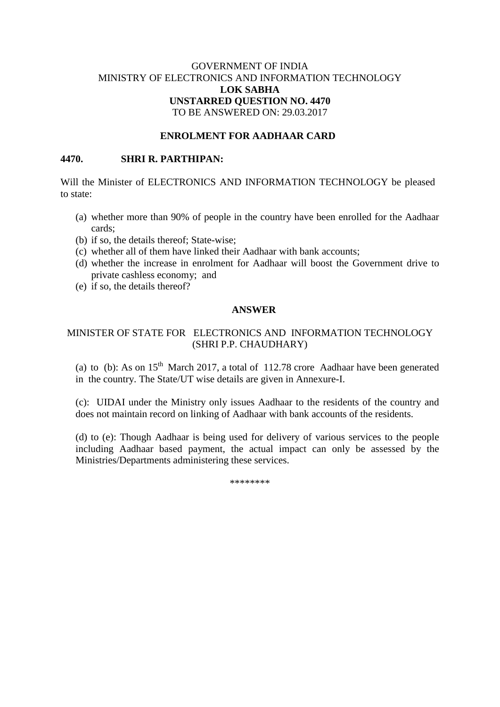# GOVERNMENT OF INDIA MINISTRY OF ELECTRONICS AND INFORMATION TECHNOLOGY **LOK SABHA UNSTARRED QUESTION NO. 4470** TO BE ANSWERED ON: 29.03.2017

## **ENROLMENT FOR AADHAAR CARD**

#### **4470. SHRI R. PARTHIPAN:**

Will the Minister of ELECTRONICS AND INFORMATION TECHNOLOGY be pleased to state:

- (a) whether more than 90% of people in the country have been enrolled for the Aadhaar cards;
- (b) if so, the details thereof; State-wise;
- (c) whether all of them have linked their Aadhaar with bank accounts;
- (d) whether the increase in enrolment for Aadhaar will boost the Government drive to private cashless economy; and
- (e) if so, the details thereof?

## **ANSWER**

## MINISTER OF STATE FOR ELECTRONICS AND INFORMATION TECHNOLOGY (SHRI P.P. CHAUDHARY)

(a) to (b): As on  $15<sup>th</sup>$  March 2017, a total of 112.78 crore Aadhaar have been generated in the country. The State/UT wise details are given in Annexure-I.

(c): UIDAI under the Ministry only issues Aadhaar to the residents of the country and does not maintain record on linking of Aadhaar with bank accounts of the residents.

(d) to (e): Though Aadhaar is being used for delivery of various services to the people including Aadhaar based payment, the actual impact can only be assessed by the Ministries/Departments administering these services.

\*\*\*\*\*\*\*\*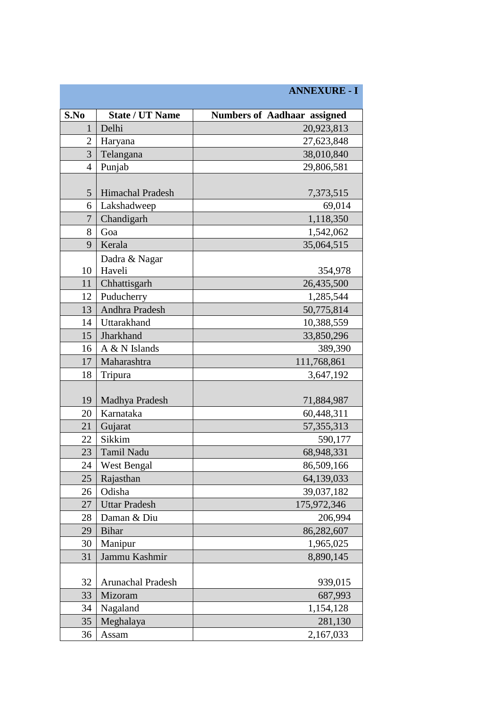|                |                          | <b>ANNEXURE - I</b>                |
|----------------|--------------------------|------------------------------------|
| S.No           | <b>State / UT Name</b>   | <b>Numbers of Aadhaar assigned</b> |
| $\mathbf{1}$   | Delhi                    | 20,923,813                         |
| 2              | Haryana                  | 27,623,848                         |
| 3              | Telangana                | 38,010,840                         |
| $\overline{4}$ | Punjab                   | 29,806,581                         |
|                |                          |                                    |
| 5              | Himachal Pradesh         | 7,373,515                          |
| 6              | Lakshadweep              | 69,014                             |
| $\overline{7}$ | Chandigarh               | 1,118,350                          |
| 8              | Goa                      | 1,542,062                          |
| 9              | Kerala                   | 35,064,515                         |
| 10             | Dadra & Nagar<br>Haveli  | 354,978                            |
| 11             | Chhattisgarh             | 26,435,500                         |
| 12             | Puducherry               | 1,285,544                          |
| 13             | Andhra Pradesh           | 50,775,814                         |
| 14             | Uttarakhand              | 10,388,559                         |
| 15             | Jharkhand                | 33,850,296                         |
| 16             | A & N Islands            | 389,390                            |
| 17             | Maharashtra              | 111,768,861                        |
| 18             | Tripura                  | 3,647,192                          |
|                |                          |                                    |
| 19             | Madhya Pradesh           | 71,884,987                         |
| 20             | Karnataka                | 60,448,311                         |
| 21             | Gujarat                  | 57, 355, 313                       |
| 22             | Sikkim                   | 590,177                            |
| 23             | <b>Tamil Nadu</b>        | 68,948,331                         |
| 24             | <b>West Bengal</b>       | 86,509,166                         |
| 25             | Rajasthan                | 64,139,033                         |
| 26             | Odisha                   | 39,037,182                         |
| 27             | <b>Uttar Pradesh</b>     | 175,972,346                        |
| 28             | Daman & Diu              | 206,994                            |
| 29             | <b>Bihar</b>             | 86,282,607                         |
| 30             | Manipur                  | 1,965,025                          |
| 31             | Jammu Kashmir            | 8,890,145                          |
| 32             | <b>Arunachal Pradesh</b> | 939,015                            |
| 33             | Mizoram                  | 687,993                            |
| 34             | Nagaland                 | 1,154,128                          |
| 35             | Meghalaya                | 281,130                            |
| 36             | Assam                    | 2,167,033                          |